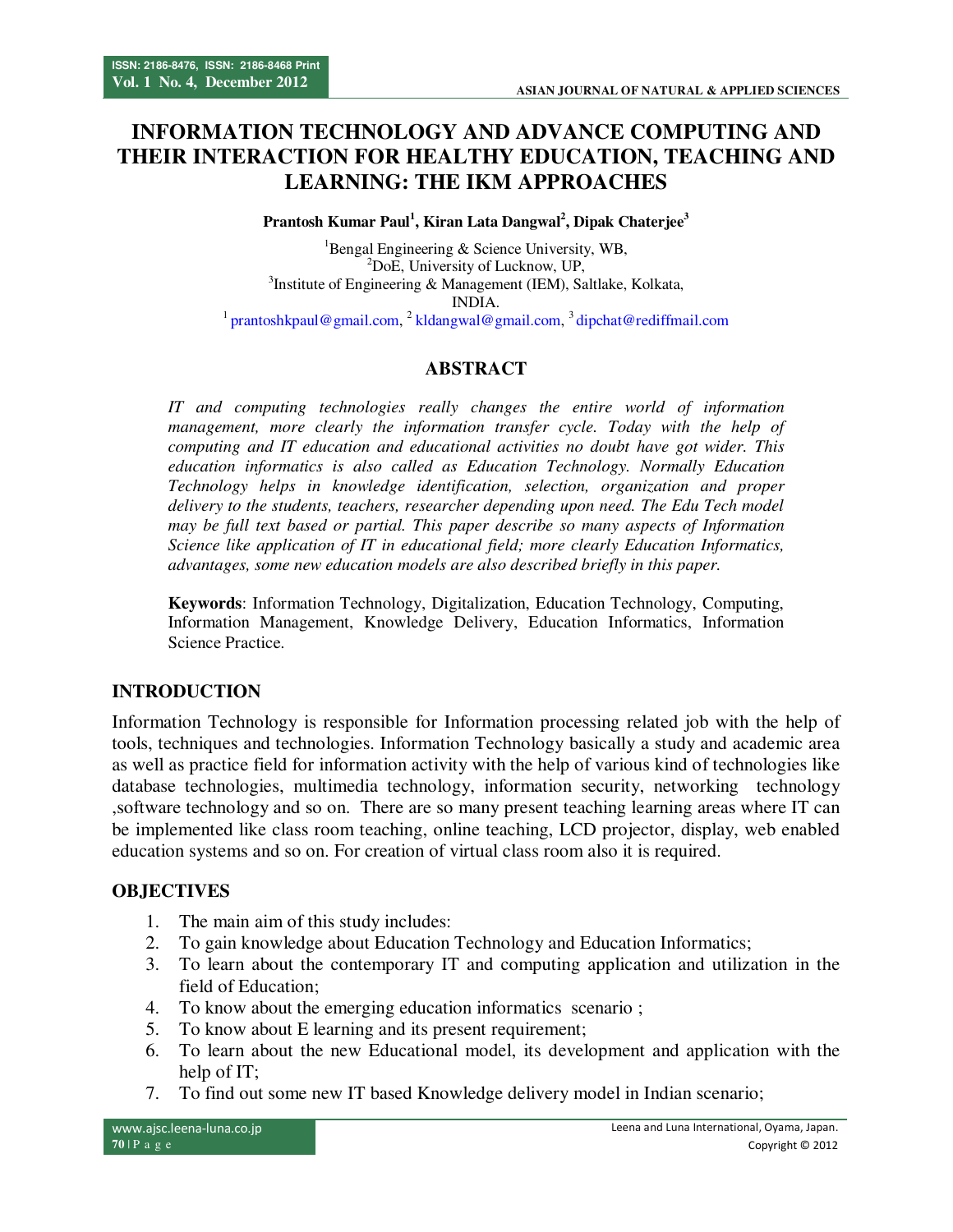# **INFORMATION TECHNOLOGY AND ADVANCE COMPUTING AND THEIR INTERACTION FOR HEALTHY EDUCATION, TEACHING AND LEARNING: THE IKM APPROACHES**

**Prantosh Kumar Paul<sup>1</sup> , Kiran Lata Dangwal<sup>2</sup> , Dipak Chaterjee<sup>3</sup>** 

<sup>1</sup>Bengal Engineering  $&$  Science University, WB, <sup>2</sup>DoE, University of Lucknow, UP, <sup>3</sup>Institute of Engineering & Management (IEM), Saltlake, Kolkata, INDIA.

<sup>1</sup> prantoshkpaul@gmail.com, <sup>2</sup> kldangwal@gmail.com, <sup>3</sup> dipchat@rediffmail.com

# **ABSTRACT**

*IT and computing technologies really changes the entire world of information management, more clearly the information transfer cycle. Today with the help of computing and IT education and educational activities no doubt have got wider. This education informatics is also called as Education Technology. Normally Education Technology helps in knowledge identification, selection, organization and proper delivery to the students, teachers, researcher depending upon need. The Edu Tech model may be full text based or partial. This paper describe so many aspects of Information Science like application of IT in educational field; more clearly Education Informatics, advantages, some new education models are also described briefly in this paper.* 

**Keywords**: Information Technology, Digitalization, Education Technology, Computing, Information Management, Knowledge Delivery, Education Informatics, Information Science Practice.

### **INTRODUCTION**

Information Technology is responsible for Information processing related job with the help of tools, techniques and technologies. Information Technology basically a study and academic area as well as practice field for information activity with the help of various kind of technologies like database technologies, multimedia technology, information security, networking technology ,software technology and so on. There are so many present teaching learning areas where IT can be implemented like class room teaching, online teaching, LCD projector, display, web enabled education systems and so on. For creation of virtual class room also it is required.

### **OBJECTIVES**

- 1. The main aim of this study includes:
- 2. To gain knowledge about Education Technology and Education Informatics;
- 3. To learn about the contemporary IT and computing application and utilization in the field of Education;
- 4. To know about the emerging education informatics scenario ;
- 5. To know about E learning and its present requirement;
- 6. To learn about the new Educational model, its development and application with the help of IT:
- 7. To find out some new IT based Knowledge delivery model in Indian scenario;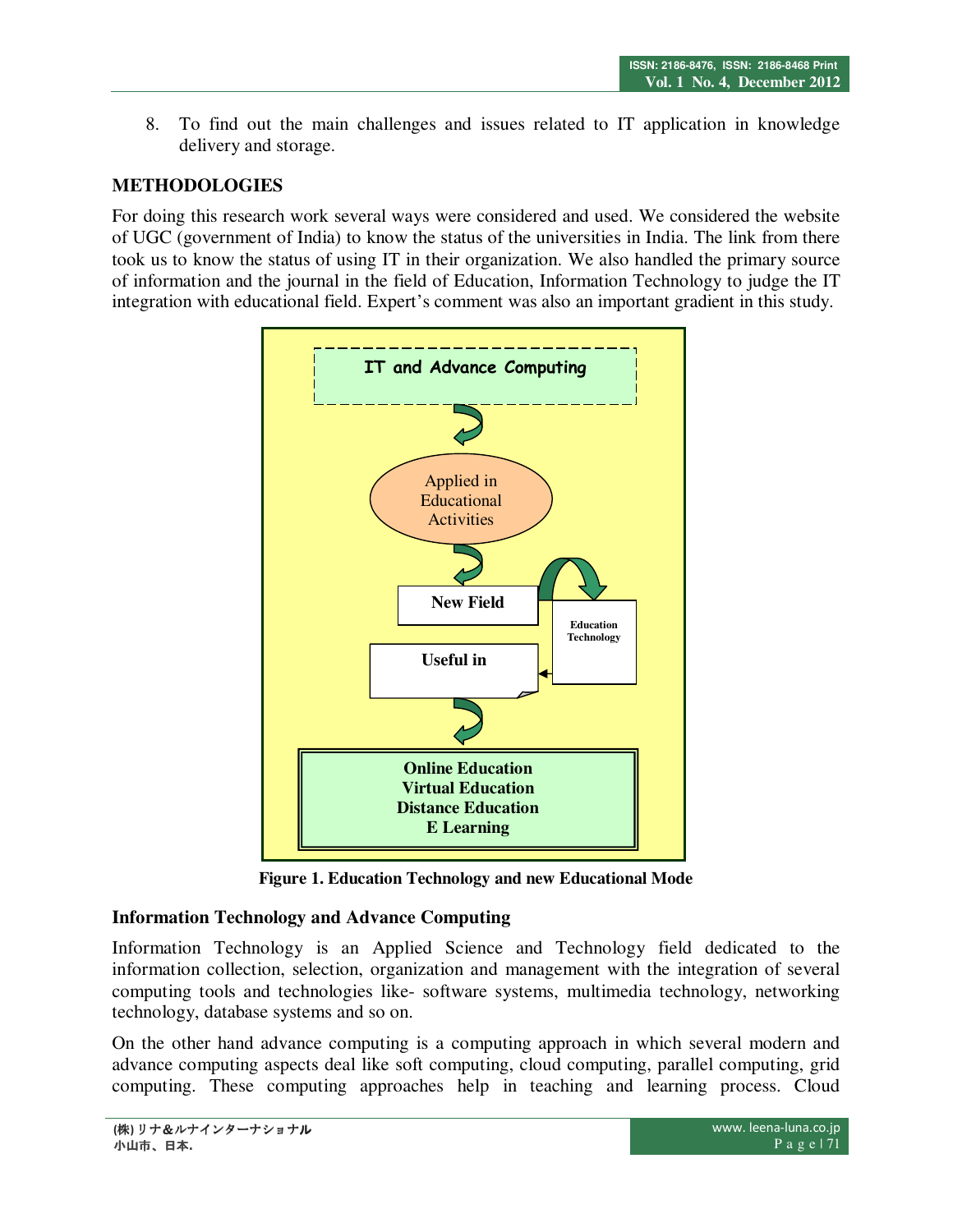8. To find out the main challenges and issues related to IT application in knowledge delivery and storage.

## **METHODOLOGIES**

For doing this research work several ways were considered and used. We considered the website of UGC (government of India) to know the status of the universities in India. The link from there took us to know the status of using IT in their organization. We also handled the primary source of information and the journal in the field of Education, Information Technology to judge the IT integration with educational field. Expert's comment was also an important gradient in this study.



**Figure 1. Education Technology and new Educational Mode** 

### **Information Technology and Advance Computing**

Information Technology is an Applied Science and Technology field dedicated to the information collection, selection, organization and management with the integration of several computing tools and technologies like- software systems, multimedia technology, networking technology, database systems and so on.

On the other hand advance computing is a computing approach in which several modern and advance computing aspects deal like soft computing, cloud computing, parallel computing, grid computing. These computing approaches help in teaching and learning process. Cloud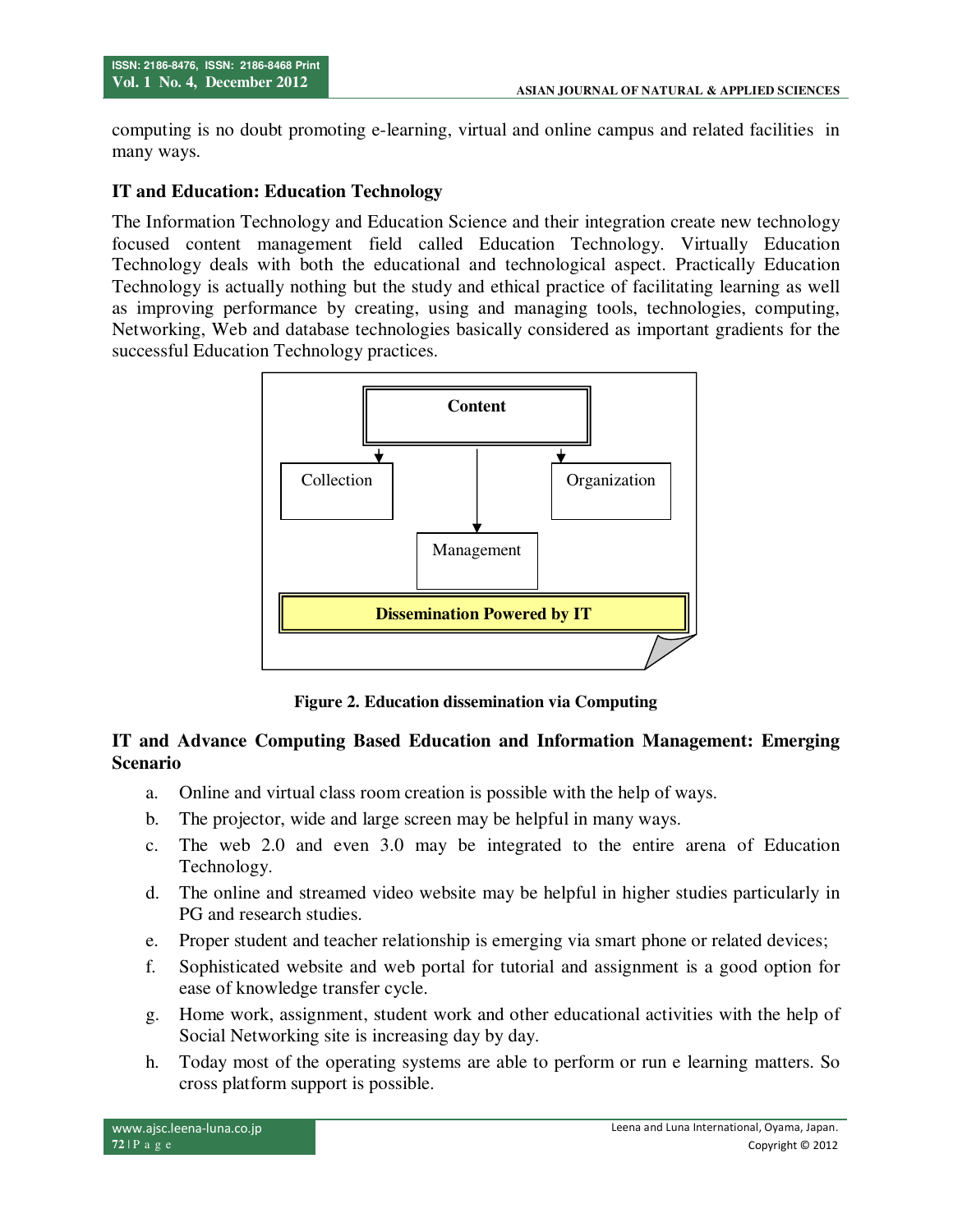computing is no doubt promoting e-learning, virtual and online campus and related facilities in many ways.

## **IT and Education: Education Technology**

The Information Technology and Education Science and their integration create new technology focused content management field called Education Technology. Virtually Education Technology deals with both the educational and technological aspect. Practically Education Technology is actually nothing but the study and ethical practice of facilitating learning as well as improving performance by creating, using and managing tools, technologies, computing, Networking, Web and database technologies basically considered as important gradients for the successful Education Technology practices.



**Figure 2. Education dissemination via Computing** 

## **IT and Advance Computing Based Education and Information Management: Emerging Scenario**

- a. Online and virtual class room creation is possible with the help of ways.
- b. The projector, wide and large screen may be helpful in many ways.
- c. The web 2.0 and even 3.0 may be integrated to the entire arena of Education Technology.
- d. The online and streamed video website may be helpful in higher studies particularly in PG and research studies.
- e. Proper student and teacher relationship is emerging via smart phone or related devices;
- f. Sophisticated website and web portal for tutorial and assignment is a good option for ease of knowledge transfer cycle.
- g. Home work, assignment, student work and other educational activities with the help of Social Networking site is increasing day by day.
- h. Today most of the operating systems are able to perform or run e learning matters. So cross platform support is possible.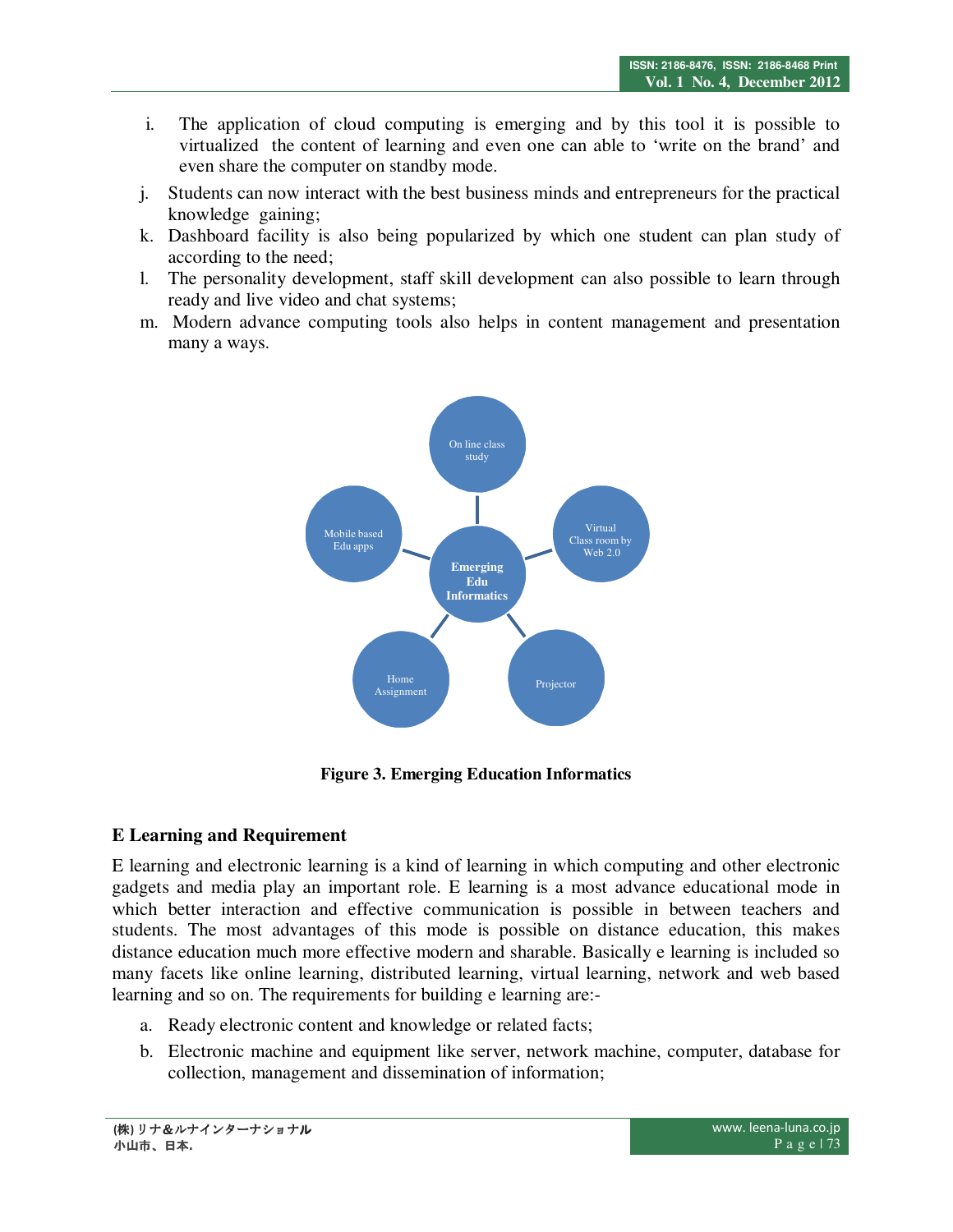- i. The application of cloud computing is emerging and by this tool it is possible to virtualized the content of learning and even one can able to 'write on the brand' and even share the computer on standby mode.
- j. Students can now interact with the best business minds and entrepreneurs for the practical knowledge gaining;
- k. Dashboard facility is also being popularized by which one student can plan study of according to the need;
- l. The personality development, staff skill development can also possible to learn through ready and live video and chat systems;
- m. Modern advance computing tools also helps in content management and presentation many a ways.



**Figure 3. Emerging Education Informatics** 

# **E Learning and Requirement**

E learning and electronic learning is a kind of learning in which computing and other electronic gadgets and media play an important role. E learning is a most advance educational mode in which better interaction and effective communication is possible in between teachers and students. The most advantages of this mode is possible on distance education, this makes distance education much more effective modern and sharable. Basically e learning is included so many facets like online learning, distributed learning, virtual learning, network and web based learning and so on. The requirements for building e learning are:-

- a. Ready electronic content and knowledge or related facts;
- b. Electronic machine and equipment like server, network machine, computer, database for collection, management and dissemination of information;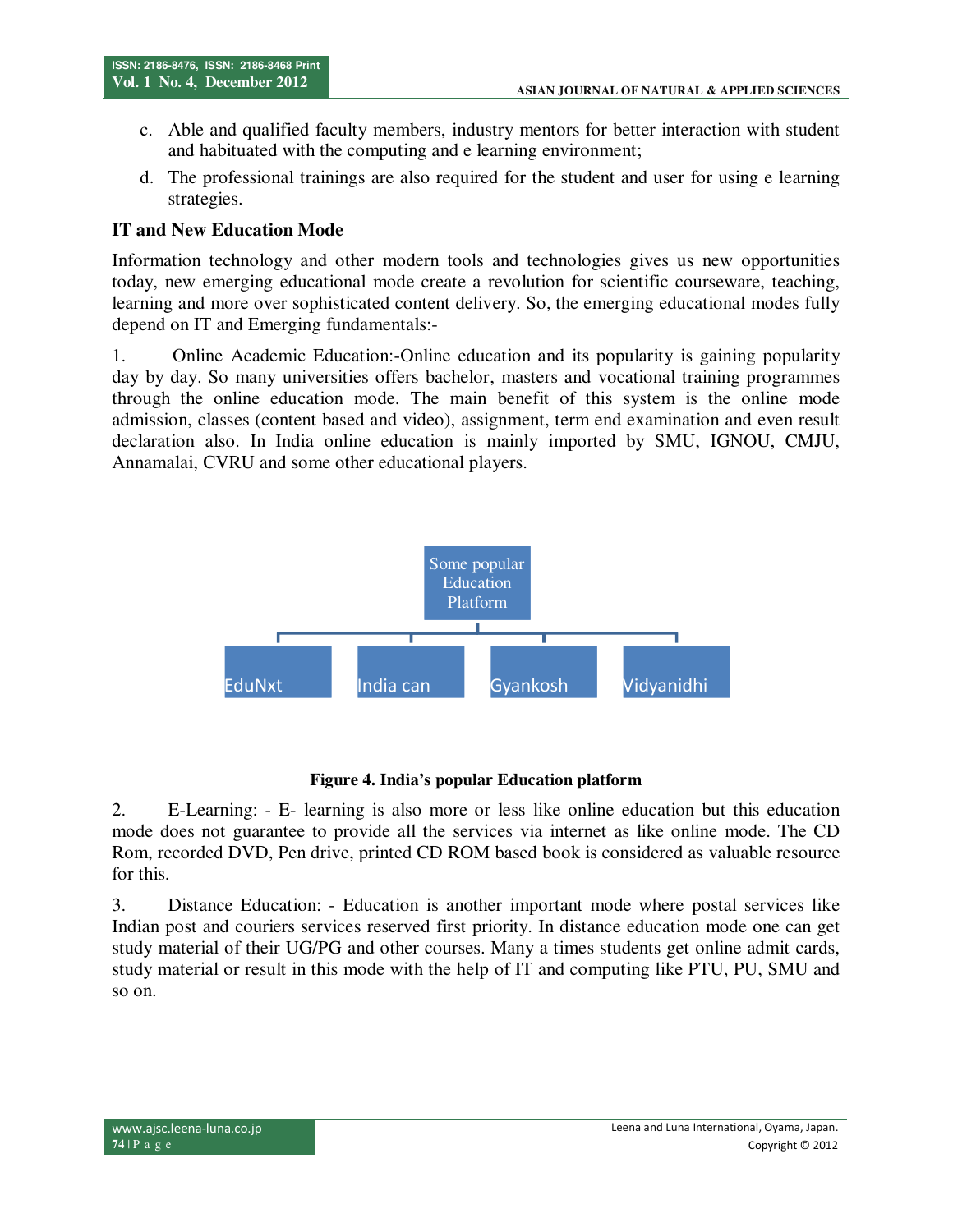- c. Able and qualified faculty members, industry mentors for better interaction with student and habituated with the computing and e learning environment;
- d. The professional trainings are also required for the student and user for using e learning strategies.

# **IT and New Education Mode**

Information technology and other modern tools and technologies gives us new opportunities today, new emerging educational mode create a revolution for scientific courseware, teaching, learning and more over sophisticated content delivery. So, the emerging educational modes fully depend on IT and Emerging fundamentals:-

1. Online Academic Education:-Online education and its popularity is gaining popularity day by day. So many universities offers bachelor, masters and vocational training programmes through the online education mode. The main benefit of this system is the online mode admission, classes (content based and video), assignment, term end examination and even result declaration also. In India online education is mainly imported by SMU, IGNOU, CMJU, Annamalai, CVRU and some other educational players.



# **Figure 4. India's popular Education platform**

2. E-Learning: - E- learning is also more or less like online education but this education mode does not guarantee to provide all the services via internet as like online mode. The CD Rom, recorded DVD, Pen drive, printed CD ROM based book is considered as valuable resource for this.

3. Distance Education: - Education is another important mode where postal services like Indian post and couriers services reserved first priority. In distance education mode one can get study material of their UG/PG and other courses. Many a times students get online admit cards, study material or result in this mode with the help of IT and computing like PTU, PU, SMU and so on.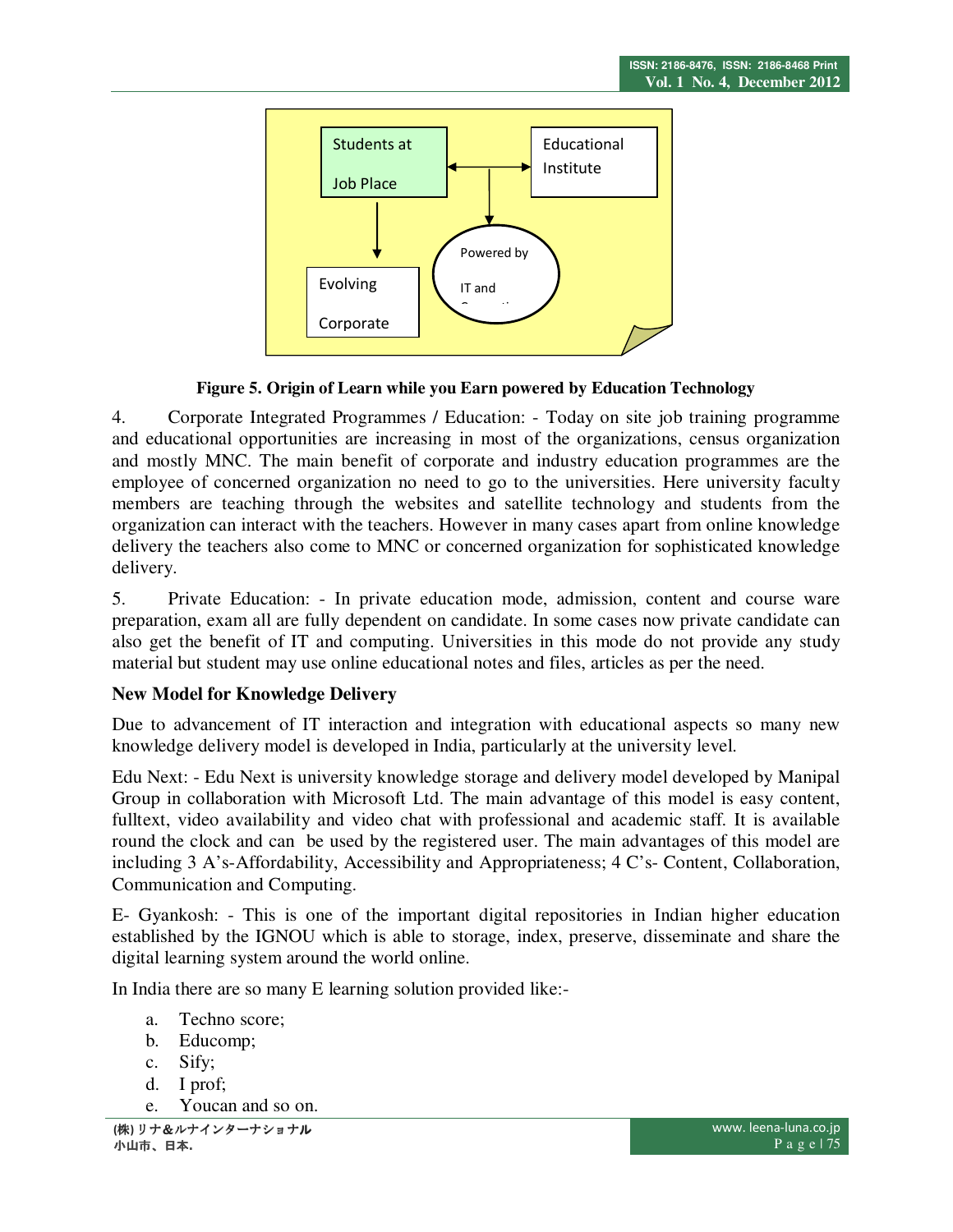

### **Figure 5. Origin of Learn while you Earn powered by Education Technology**

4. Corporate Integrated Programmes / Education: - Today on site job training programme and educational opportunities are increasing in most of the organizations, census organization and mostly MNC. The main benefit of corporate and industry education programmes are the employee of concerned organization no need to go to the universities. Here university faculty members are teaching through the websites and satellite technology and students from the organization can interact with the teachers. However in many cases apart from online knowledge delivery the teachers also come to MNC or concerned organization for sophisticated knowledge delivery.

5. Private Education: - In private education mode, admission, content and course ware preparation, exam all are fully dependent on candidate. In some cases now private candidate can also get the benefit of IT and computing. Universities in this mode do not provide any study material but student may use online educational notes and files, articles as per the need.

# **New Model for Knowledge Delivery**

Due to advancement of IT interaction and integration with educational aspects so many new knowledge delivery model is developed in India, particularly at the university level.

Edu Next: - Edu Next is university knowledge storage and delivery model developed by Manipal Group in collaboration with Microsoft Ltd. The main advantage of this model is easy content, fulltext, video availability and video chat with professional and academic staff. It is available round the clock and can be used by the registered user. The main advantages of this model are including 3 A's-Affordability, Accessibility and Appropriateness; 4 C's- Content, Collaboration, Communication and Computing.

E- Gyankosh: - This is one of the important digital repositories in Indian higher education established by the IGNOU which is able to storage, index, preserve, disseminate and share the digital learning system around the world online.

In India there are so many E learning solution provided like:-

- a. Techno score;
- b. Educomp;
- c. Sify;
- d. I prof;
- e. Youcan and so on.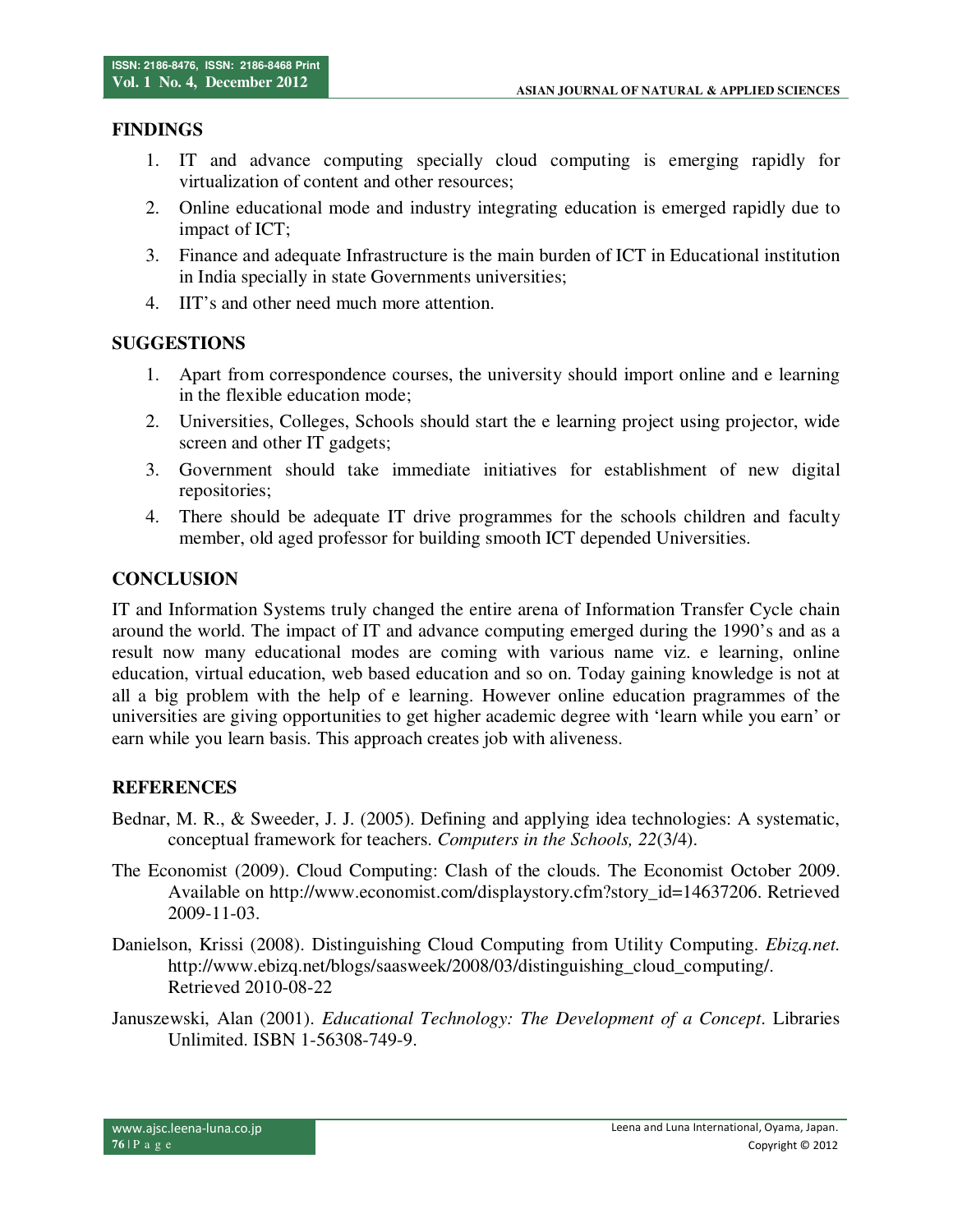### **FINDINGS**

- 1. IT and advance computing specially cloud computing is emerging rapidly for virtualization of content and other resources;
- 2. Online educational mode and industry integrating education is emerged rapidly due to impact of ICT;
- 3. Finance and adequate Infrastructure is the main burden of ICT in Educational institution in India specially in state Governments universities;
- 4. IIT's and other need much more attention.

### **SUGGESTIONS**

- 1. Apart from correspondence courses, the university should import online and e learning in the flexible education mode;
- 2. Universities, Colleges, Schools should start the e learning project using projector, wide screen and other IT gadgets;
- 3. Government should take immediate initiatives for establishment of new digital repositories;
- 4. There should be adequate IT drive programmes for the schools children and faculty member, old aged professor for building smooth ICT depended Universities.

## **CONCLUSION**

IT and Information Systems truly changed the entire arena of Information Transfer Cycle chain around the world. The impact of IT and advance computing emerged during the 1990's and as a result now many educational modes are coming with various name viz. e learning, online education, virtual education, web based education and so on. Today gaining knowledge is not at all a big problem with the help of e learning. However online education pragrammes of the universities are giving opportunities to get higher academic degree with 'learn while you earn' or earn while you learn basis. This approach creates job with aliveness.

### **REFERENCES**

- Bednar, M. R., & Sweeder, J. J. (2005). Defining and applying idea technologies: A systematic, conceptual framework for teachers. *Computers in the Schools, 22*(3/4).
- The Economist (2009). Cloud Computing: Clash of the clouds. The Economist October 2009. Available on http://www.economist.com/displaystory.cfm?story\_id=14637206. Retrieved 2009-11-03.
- Danielson, Krissi (2008). Distinguishing Cloud Computing from Utility Computing. *Ebizq.net.* http://www.ebizq.net/blogs/saasweek/2008/03/distinguishing\_cloud\_computing/. Retrieved 2010-08-22
- Januszewski, Alan (2001). *Educational Technology: The Development of a Concept*. Libraries Unlimited. ISBN 1-56308-749-9.